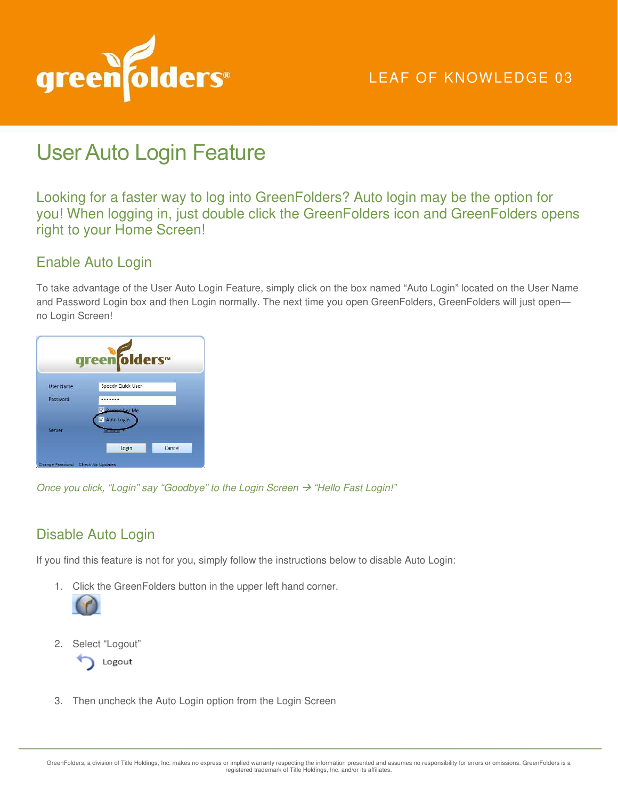

## LEAF OF KNOWLEDGE 03

## User Auto Login Feature

Looking for a faster way to log into GreenFolders? Auto login may be the option for you! When logging in, just double click the GreenFolders icon and GreenFolders opens right to your Home Screen!

## Enable Auto Login

To take advantage of the User Auto Login Feature, simply click on the box named "Auto Login" located on the User Name and Password Login box and then Login normally. The next time you open GreenFolders, GreenFolders will just open no Login Screen!



Once you click, "Login" say "Goodbye" to the Login Screen  $\rightarrow$  "Hello Fast Login!"

## Disable Auto Login

If you find this feature is not for you, simply follow the instructions below to disable Auto Login:

1. Click the GreenFolders button in the upper left hand corner.



2. Select "Logout"

Logout

3. Then uncheck the Auto Login option from the Login Screen